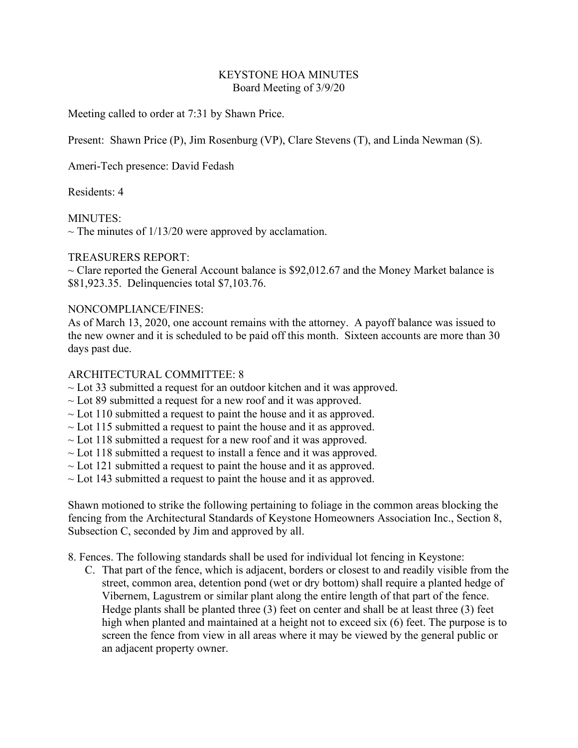### KEYSTONE HOA MINUTES Board Meeting of 3/9/20

Meeting called to order at 7:31 by Shawn Price.

Present: Shawn Price (P), Jim Rosenburg (VP), Clare Stevens (T), and Linda Newman (S).

Ameri-Tech presence: David Fedash

Residents: 4

MINUTES:

 $\sim$  The minutes of 1/13/20 were approved by acclamation.

## TREASURERS REPORT:

 $\sim$  Clare reported the General Account balance is \$92,012.67 and the Money Market balance is \$81,923.35. Delinquencies total \$7,103.76.

## NONCOMPLIANCE/FINES:

As of March 13, 2020, one account remains with the attorney. A payoff balance was issued to the new owner and it is scheduled to be paid off this month. Sixteen accounts are more than 30 days past due.

# ARCHITECTURAL COMMITTEE: 8

- $\sim$  Lot 33 submitted a request for an outdoor kitchen and it was approved.
- $\sim$  Lot 89 submitted a request for a new roof and it was approved.
- $\sim$  Lot 110 submitted a request to paint the house and it as approved.
- $\sim$  Lot 115 submitted a request to paint the house and it as approved.
- $\sim$  Lot 118 submitted a request for a new roof and it was approved.
- $\sim$  Lot 118 submitted a request to install a fence and it was approved.
- $\sim$  Lot 121 submitted a request to paint the house and it as approved.
- $\sim$  Lot 143 submitted a request to paint the house and it as approved.

Shawn motioned to strike the following pertaining to foliage in the common areas blocking the fencing from the Architectural Standards of Keystone Homeowners Association Inc., Section 8, Subsection C, seconded by Jim and approved by all.

- 8. Fences. The following standards shall be used for individual lot fencing in Keystone:
	- C. That part of the fence, which is adjacent, borders or closest to and readily visible from the street, common area, detention pond (wet or dry bottom) shall require a planted hedge of Vibernem, Lagustrem or similar plant along the entire length of that part of the fence. Hedge plants shall be planted three (3) feet on center and shall be at least three (3) feet high when planted and maintained at a height not to exceed six (6) feet. The purpose is to screen the fence from view in all areas where it may be viewed by the general public or an adjacent property owner.